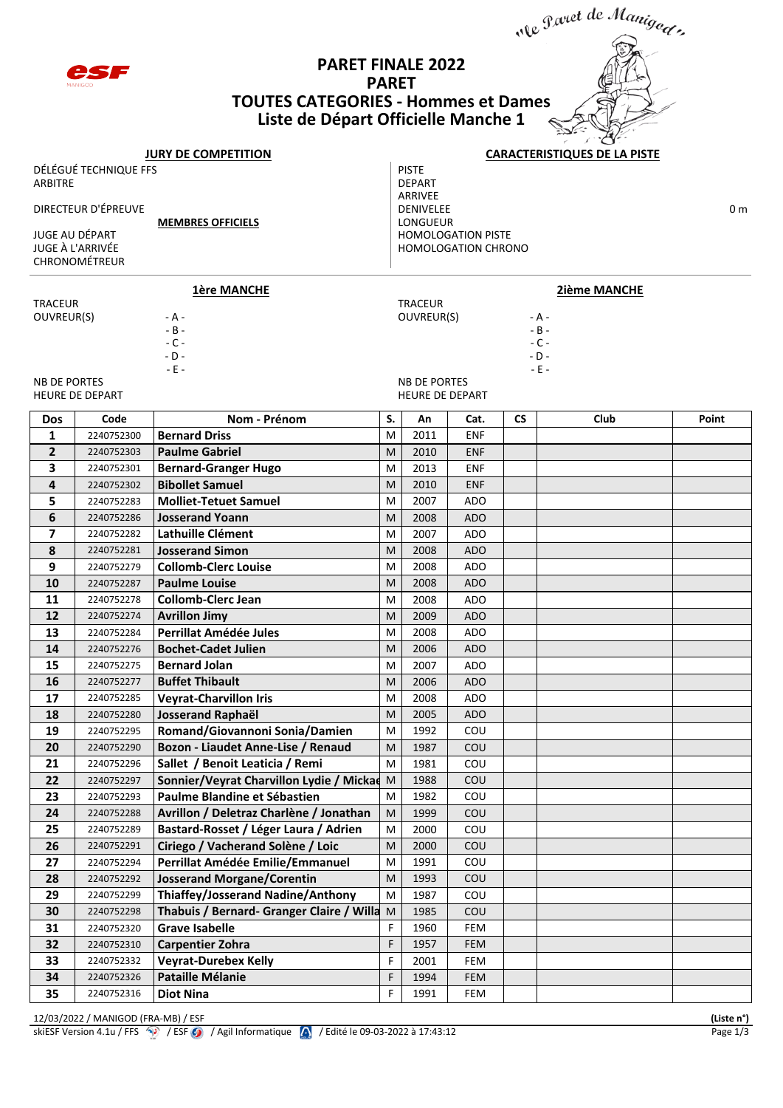

## **PARET FINALE 2022 PARET TOUTES CATEGORIES - Hommes et Dames Liste de Départ Officielle Manche 1**



| <b>JURY DE COMPETITION</b> |                                   |                                                                        |                                        | <b>CARACTERISTIQUES DE LA PISTE</b> |            |                 |                     |       |  |  |
|----------------------------|-----------------------------------|------------------------------------------------------------------------|----------------------------------------|-------------------------------------|------------|-----------------|---------------------|-------|--|--|
| DÉLÉGUÉ TECHNIQUE FFS      |                                   |                                                                        |                                        | <b>PISTE</b>                        |            |                 |                     |       |  |  |
| ARBITRE                    |                                   |                                                                        |                                        | <b>DEPART</b>                       |            |                 |                     |       |  |  |
| DIRECTEUR D'ÉPREUVE        |                                   |                                                                        | ARRIVEE<br>DENIVELEE<br>0 <sub>m</sub> |                                     |            |                 |                     |       |  |  |
| <b>MEMBRES OFFICIELS</b>   |                                   |                                                                        | LONGUEUR                               |                                     |            |                 |                     |       |  |  |
| JUGE AU DÉPART             |                                   |                                                                        | <b>HOMOLOGATION PISTE</b>              |                                     |            |                 |                     |       |  |  |
|                            | JUGE À L'ARRIVÉE<br>CHRONOMÉTREUR |                                                                        |                                        | <b>HOMOLOGATION CHRONO</b>          |            |                 |                     |       |  |  |
|                            |                                   |                                                                        |                                        |                                     |            |                 |                     |       |  |  |
|                            |                                   | <b>1ère MANCHE</b>                                                     |                                        |                                     |            |                 | <b>2ième MANCHE</b> |       |  |  |
| <b>TRACEUR</b>             |                                   |                                                                        | <b>TRACEUR</b>                         |                                     |            |                 |                     |       |  |  |
| OUVREUR(S)                 |                                   | - A -<br>$- B -$                                                       | OUVREUR(S)                             |                                     |            | - A -<br>$-B -$ |                     |       |  |  |
|                            |                                   | $-C -$                                                                 |                                        |                                     |            |                 | $-C -$              |       |  |  |
|                            |                                   | - D -                                                                  |                                        |                                     |            |                 | $-D -$              |       |  |  |
| <b>NB DE PORTES</b>        |                                   | $\sim$ E $\sim$                                                        |                                        | <b>NB DE PORTES</b>                 |            |                 | $-E$ -              |       |  |  |
|                            | <b>HEURE DE DEPART</b>            |                                                                        |                                        | <b>HEURE DE DEPART</b>              |            |                 |                     |       |  |  |
| <b>Dos</b>                 | Code                              | Nom - Prénom                                                           | S.                                     | An                                  | Cat.       | <b>CS</b>       | Club                | Point |  |  |
| 1                          | 2240752300                        | <b>Bernard Driss</b>                                                   | M                                      | 2011                                | <b>ENF</b> |                 |                     |       |  |  |
| $\overline{2}$             | 2240752303                        | <b>Paulme Gabriel</b>                                                  | M                                      | 2010                                | <b>ENF</b> |                 |                     |       |  |  |
| 3                          | 2240752301                        | <b>Bernard-Granger Hugo</b>                                            | M                                      | 2013                                | <b>ENF</b> |                 |                     |       |  |  |
| 4                          | 2240752302                        | <b>Bibollet Samuel</b>                                                 | M                                      | 2010                                | <b>ENF</b> |                 |                     |       |  |  |
| 5                          | 2240752283                        | <b>Molliet-Tetuet Samuel</b>                                           | M                                      | 2007                                | <b>ADO</b> |                 |                     |       |  |  |
| 6                          | 2240752286                        | <b>Josserand Yoann</b>                                                 | M                                      | 2008                                | <b>ADO</b> |                 |                     |       |  |  |
| 7                          | 2240752282                        | Lathuille Clément                                                      | M                                      | 2007                                | ADO        |                 |                     |       |  |  |
| 8                          | 2240752281                        | <b>Josserand Simon</b>                                                 | M                                      | 2008                                | <b>ADO</b> |                 |                     |       |  |  |
| 9                          | 2240752279                        | <b>Collomb-Clerc Louise</b>                                            | M                                      | 2008                                | <b>ADO</b> |                 |                     |       |  |  |
| 10                         | 2240752287                        | <b>Paulme Louise</b>                                                   | M                                      | 2008                                | <b>ADO</b> |                 |                     |       |  |  |
| 11                         | 2240752278                        | <b>Collomb-Clerc Jean</b>                                              | M                                      | 2008                                | <b>ADO</b> |                 |                     |       |  |  |
| 12                         | 2240752274                        | <b>Avrillon Jimy</b>                                                   | M                                      | 2009                                | <b>ADO</b> |                 |                     |       |  |  |
| 13                         | 2240752284                        | Perrillat Amédée Jules                                                 | M                                      | 2008                                | ADO        |                 |                     |       |  |  |
| 14                         | 2240752276                        | <b>Bochet-Cadet Julien</b>                                             | M                                      | 2006                                | <b>ADO</b> |                 |                     |       |  |  |
| 15                         | 2240752275                        | <b>Bernard Jolan</b>                                                   | M                                      | 2007                                | <b>ADO</b> |                 |                     |       |  |  |
| 16                         | 2240752277                        | <b>Buffet Thibault</b>                                                 | M                                      | 2006                                | <b>ADO</b> |                 |                     |       |  |  |
| 17                         | 2240752285                        | <b>Veyrat-Charvillon Iris</b>                                          | M                                      | 2008                                | <b>ADO</b> |                 |                     |       |  |  |
| 18                         | 2240752280                        | <b>Josserand Raphaël</b>                                               | M                                      | 2005                                | <b>ADO</b> |                 |                     |       |  |  |
| 19                         | 2240752295                        | Romand/Giovannoni Sonia/Damien                                         | м                                      | 1992                                | COU        |                 |                     |       |  |  |
| 20                         | 2240752290                        | Bozon - Liaudet Anne-Lise / Renaud                                     | M                                      | 1987                                | COU        |                 |                     |       |  |  |
| 21                         | 2240752296                        | Sallet / Benoit Leaticia / Remi                                        | M                                      | 1981                                | COU        |                 |                     |       |  |  |
| 22                         | 2240752297                        | Sonnier/Veyrat Charvillon Lydie / Mickae M                             |                                        | 1988                                | COU        |                 |                     |       |  |  |
| 23                         | 2240752293                        | Paulme Blandine et Sébastien                                           | м                                      | 1982                                | COU        |                 |                     |       |  |  |
| 24                         | 2240752288                        | Avrillon / Deletraz Charlène / Jonathan                                | M                                      | 1999                                | COU        |                 |                     |       |  |  |
| 25                         | 2240752289                        | Bastard-Rosset / Léger Laura / Adrien                                  | M                                      | 2000                                | COU        |                 |                     |       |  |  |
| 26                         | 2240752291                        | Ciriego / Vacherand Solène / Loic                                      | M                                      | 2000                                | COU        |                 |                     |       |  |  |
| 27                         | 2240752294                        | Perrillat Amédée Emilie/Emmanuel                                       | M                                      | 1991                                | COU        |                 |                     |       |  |  |
| 28                         | 2240752292                        | <b>Josserand Morgane/Corentin</b><br>Thiaffey/Josserand Nadine/Anthony | М                                      | 1993                                | COU        |                 |                     |       |  |  |
| 29<br>30                   | 2240752299<br>2240752298          | Thabuis / Bernard- Granger Claire / Willa                              | M<br>M                                 | 1987<br>1985                        | COU<br>COU |                 |                     |       |  |  |
| 31                         | 2240752320                        | <b>Grave Isabelle</b>                                                  | F                                      | 1960                                | FEM        |                 |                     |       |  |  |
| 32                         | 2240752310                        | <b>Carpentier Zohra</b>                                                | F                                      | 1957                                | FEM        |                 |                     |       |  |  |
| 33                         | 2240752332                        | <b>Veyrat-Durebex Kelly</b>                                            | F                                      | 2001                                | FEM        |                 |                     |       |  |  |
| 34                         | 2240752326                        | <b>Pataille Mélanie</b>                                                | F                                      | 1994                                | <b>FEM</b> |                 |                     |       |  |  |
| 35                         | 2240752316                        | <b>Diot Nina</b>                                                       | F                                      | 1991                                | FEM        |                 |                     |       |  |  |
|                            |                                   |                                                                        |                                        |                                     |            |                 |                     |       |  |  |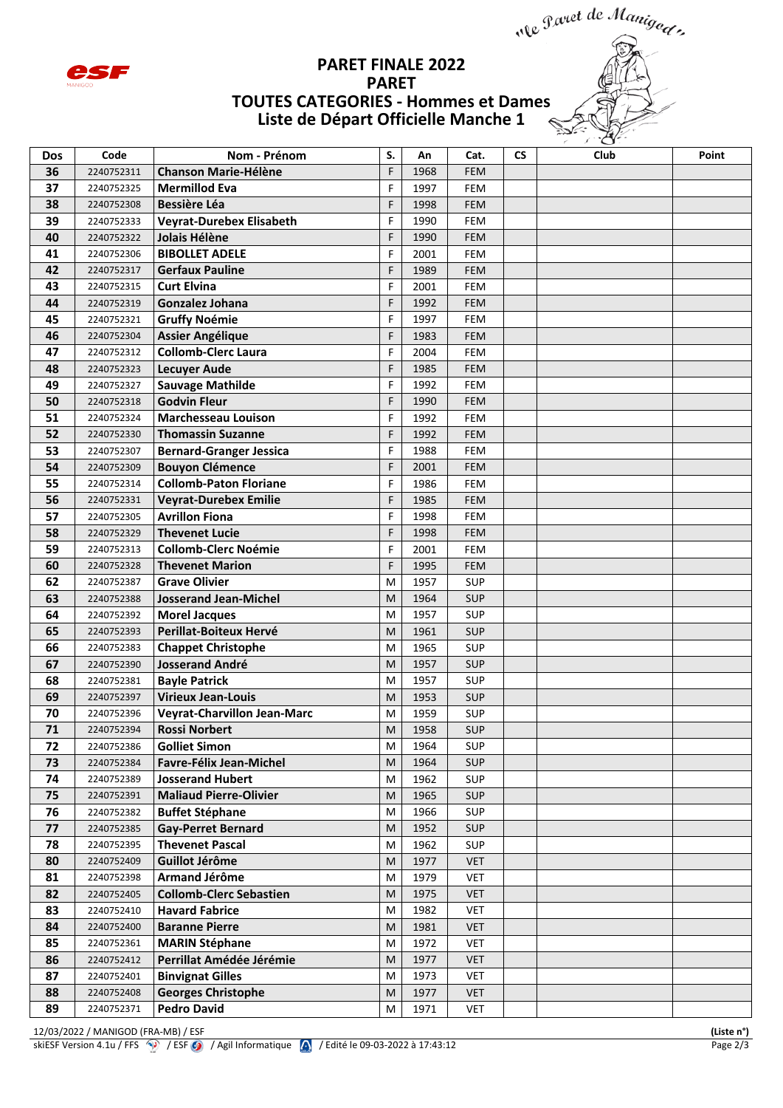

## **PARET FINALE 2022 PARET TOUTES CATEGORIES - Hommes et Dames Liste de Départ Officielle Manche 1**



| Dos | Code       | Nom - Prénom                       | S. | An   | Cat.       | <b>CS</b> | Club | Point |
|-----|------------|------------------------------------|----|------|------------|-----------|------|-------|
| 36  | 2240752311 | <b>Chanson Marie-Hélène</b>        | F  | 1968 | <b>FEM</b> |           |      |       |
| 37  | 2240752325 | <b>Mermillod Eva</b>               | F  | 1997 | <b>FEM</b> |           |      |       |
| 38  | 2240752308 | <b>Bessière Léa</b>                | F  | 1998 | <b>FEM</b> |           |      |       |
| 39  | 2240752333 | <b>Veyrat-Durebex Elisabeth</b>    | F  | 1990 | <b>FEM</b> |           |      |       |
| 40  | 2240752322 | Jolais Hélène                      | F  | 1990 | <b>FEM</b> |           |      |       |
| 41  | 2240752306 | <b>BIBOLLET ADELE</b>              | F  | 2001 | <b>FEM</b> |           |      |       |
| 42  | 2240752317 | <b>Gerfaux Pauline</b>             | F  | 1989 | <b>FEM</b> |           |      |       |
| 43  | 2240752315 | <b>Curt Elvina</b>                 | F  | 2001 | <b>FEM</b> |           |      |       |
| 44  | 2240752319 | <b>Gonzalez Johana</b>             | F  | 1992 | <b>FEM</b> |           |      |       |
| 45  | 2240752321 | <b>Gruffy Noémie</b>               | F  | 1997 | FEM        |           |      |       |
| 46  | 2240752304 | <b>Assier Angélique</b>            | F  | 1983 | <b>FEM</b> |           |      |       |
| 47  | 2240752312 | <b>Collomb-Clerc Laura</b>         | F  | 2004 | <b>FEM</b> |           |      |       |
| 48  | 2240752323 | <b>Lecuyer Aude</b>                | F  | 1985 | <b>FEM</b> |           |      |       |
| 49  | 2240752327 | <b>Sauvage Mathilde</b>            | F  | 1992 | <b>FEM</b> |           |      |       |
| 50  | 2240752318 | <b>Godvin Fleur</b>                | F  | 1990 | <b>FEM</b> |           |      |       |
| 51  | 2240752324 | <b>Marchesseau Louison</b>         | F  | 1992 | FEM        |           |      |       |
| 52  | 2240752330 | <b>Thomassin Suzanne</b>           | F  | 1992 | <b>FEM</b> |           |      |       |
| 53  | 2240752307 | <b>Bernard-Granger Jessica</b>     | F  | 1988 | <b>FEM</b> |           |      |       |
| 54  | 2240752309 | <b>Bouyon Clémence</b>             | F  | 2001 | <b>FEM</b> |           |      |       |
| 55  | 2240752314 | <b>Collomb-Paton Floriane</b>      | F  | 1986 | FEM        |           |      |       |
| 56  | 2240752331 | <b>Veyrat-Durebex Emilie</b>       | F  | 1985 | <b>FEM</b> |           |      |       |
| 57  | 2240752305 | <b>Avrillon Fiona</b>              | F  | 1998 | <b>FEM</b> |           |      |       |
| 58  | 2240752329 | <b>Thevenet Lucie</b>              | F  | 1998 | <b>FEM</b> |           |      |       |
| 59  | 2240752313 | <b>Collomb-Clerc Noémie</b>        | F  | 2001 | <b>FEM</b> |           |      |       |
| 60  | 2240752328 | <b>Thevenet Marion</b>             | F  | 1995 | <b>FEM</b> |           |      |       |
| 62  | 2240752387 | <b>Grave Olivier</b>               | M  | 1957 | <b>SUP</b> |           |      |       |
| 63  | 2240752388 | <b>Josserand Jean-Michel</b>       | M  | 1964 | <b>SUP</b> |           |      |       |
| 64  | 2240752392 | <b>Morel Jacques</b>               | M  | 1957 | <b>SUP</b> |           |      |       |
| 65  | 2240752393 | Perillat-Boiteux Hervé             | M  | 1961 | <b>SUP</b> |           |      |       |
| 66  | 2240752383 | <b>Chappet Christophe</b>          | M  | 1965 | <b>SUP</b> |           |      |       |
| 67  | 2240752390 | <b>Josserand André</b>             | M  | 1957 | <b>SUP</b> |           |      |       |
| 68  | 2240752381 | <b>Bayle Patrick</b>               | M  | 1957 | <b>SUP</b> |           |      |       |
| 69  | 2240752397 | <b>Virieux Jean-Louis</b>          | M  | 1953 | <b>SUP</b> |           |      |       |
| 70  | 2240752396 | <b>Veyrat-Charvillon Jean-Marc</b> | M  | 1959 | <b>SUP</b> |           |      |       |
| 71  | 2240752394 | <b>Rossi Norbert</b>               | M  | 1958 | <b>SUP</b> |           |      |       |
| 72  | 2240752386 | <b>Golliet Simon</b>               | M  | 1964 | <b>SUP</b> |           |      |       |
| 73  | 2240752384 | Favre-Félix Jean-Michel            | M  | 1964 | <b>SUP</b> |           |      |       |
| 74  | 2240752389 | <b>Josserand Hubert</b>            | м  | 1962 | <b>SUP</b> |           |      |       |
| 75  | 2240752391 | <b>Maliaud Pierre-Olivier</b>      | M  | 1965 | <b>SUP</b> |           |      |       |
| 76  | 2240752382 | <b>Buffet Stéphane</b>             | M  | 1966 | <b>SUP</b> |           |      |       |
| 77  | 2240752385 | <b>Gay-Perret Bernard</b>          | M  | 1952 | <b>SUP</b> |           |      |       |
| 78  | 2240752395 | <b>Thevenet Pascal</b>             | M  | 1962 | SUP        |           |      |       |
| 80  | 2240752409 | Guillot Jérôme                     | M  | 1977 | <b>VET</b> |           |      |       |
| 81  | 2240752398 | Armand Jérôme                      | м  | 1979 | <b>VET</b> |           |      |       |
| 82  | 2240752405 | <b>Collomb-Clerc Sebastien</b>     | M  | 1975 | <b>VET</b> |           |      |       |
| 83  | 2240752410 | <b>Havard Fabrice</b>              | M  | 1982 | <b>VET</b> |           |      |       |
| 84  | 2240752400 | <b>Baranne Pierre</b>              | M  | 1981 | <b>VET</b> |           |      |       |
| 85  | 2240752361 | <b>MARIN Stéphane</b>              | м  | 1972 | <b>VET</b> |           |      |       |
| 86  | 2240752412 | Perrillat Amédée Jérémie           | M  | 1977 | <b>VET</b> |           |      |       |
| 87  | 2240752401 | <b>Binvignat Gilles</b>            | M  | 1973 | <b>VET</b> |           |      |       |
| 88  | 2240752408 | <b>Georges Christophe</b>          | M  | 1977 | <b>VET</b> |           |      |       |
| 89  | 2240752371 | <b>Pedro David</b>                 | м  | 1971 | <b>VET</b> |           |      |       |

12/03/2022 / MANIGOD (FRA-MB) / ESF<br>
skiESF Version 4.1u / FFS <sup>(\*\*\*</sup>) / ESF (\*\*\*) / Agil Informatique (\*\*) / Edité le 09-03-2022 à 17:43:12<br>
Page 2/3 skiESF Version 4.1u / FFS  $\circled{3}$  / ESF  $\circled{9}$  / Agil Informatique  $\circled{4}$  / Edité le 09-03-2022 à 17:43:12